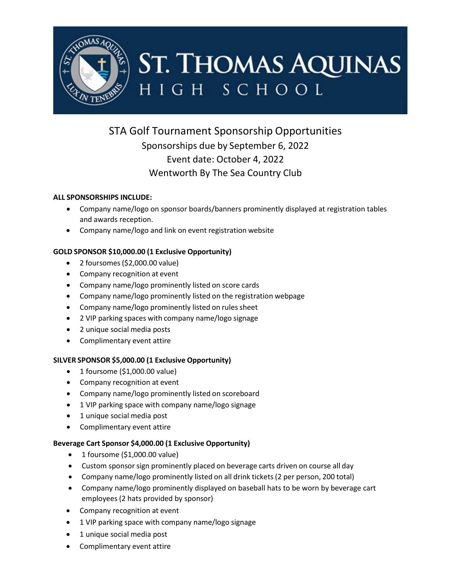

# STA Golf Tournament Sponsorship Opportunities Sponsorships due by September 6, 2022 Event date: October 4, 2022 Wentworth By The Sea Country Club

### **ALL SPONSORSHIPS INCLUDE:**

- Company name/logo on sponsor boards/banners prominently displayed at registration tables and awards reception.
- Company name/logo and link on event registration website

### **GOLD SPONSOR \$10,000.00 (1 Exclusive Opportunity)**

- 2 foursomes(\$2,000.00 value)
- Company recognition at event
- Company name/logo prominently listed on score cards
- Company name/logo prominently listed on the registration webpage
- Company name/logo prominently listed on rules sheet
- 2 VIP parking spaces with company name/logo signage
- 2 unique social media posts
- Complimentary event attire

### **SILVER SPONSOR \$5,000.00 (1 Exclusive Opportunity)**

- $\bullet$  1 foursome (\$1,000.00 value)
- Company recognition at event
- Company name/logo prominently listed on scoreboard
- 1 VIP parking space with company name/logo signage
- 1 unique social media post
- Complimentary event attire

### **Beverage Cart Sponsor \$4,000.00 (1 Exclusive Opportunity)**

- $\bullet$  1 foursome (\$1,000.00 value)
- Custom sponsorsign prominently placed on beverage carts driven on course all day
- Company name/logo prominently listed on all drink tickets(2 per person, 200 total)
- Company name/logo prominently displayed on baseball hats to be worn by beverage cart employees (2 hats provided by sponsor)
- Company recognition at event
- 1 VIP parking space with company name/logo signage
- 1 unique social media post
- Complimentary event attire